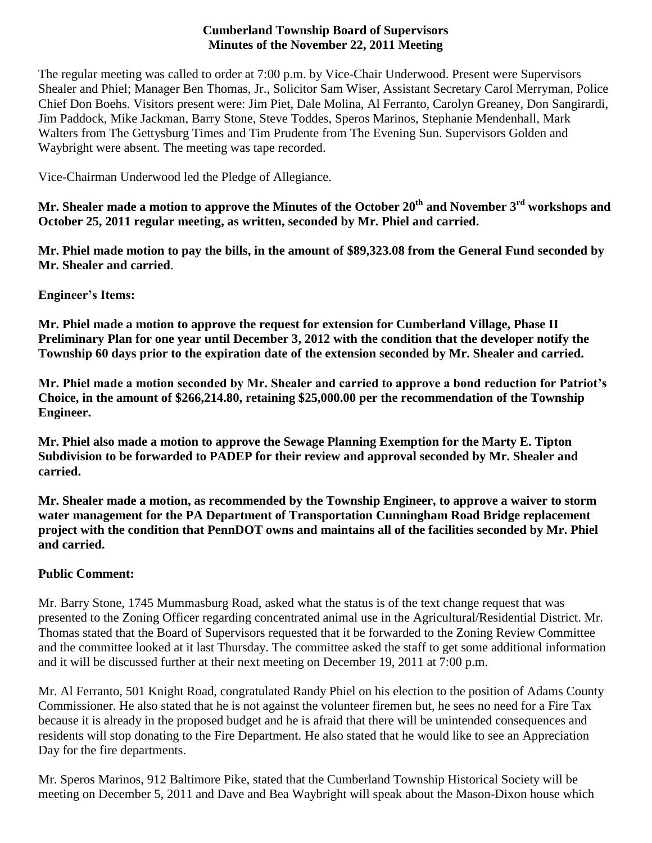#### **Cumberland Township Board of Supervisors Minutes of the November 22, 2011 Meeting**

The regular meeting was called to order at 7:00 p.m. by Vice-Chair Underwood. Present were Supervisors Shealer and Phiel; Manager Ben Thomas, Jr., Solicitor Sam Wiser, Assistant Secretary Carol Merryman, Police Chief Don Boehs. Visitors present were: Jim Piet, Dale Molina, Al Ferranto, Carolyn Greaney, Don Sangirardi, Jim Paddock, Mike Jackman, Barry Stone, Steve Toddes, Speros Marinos, Stephanie Mendenhall, Mark Walters from The Gettysburg Times and Tim Prudente from The Evening Sun. Supervisors Golden and Waybright were absent. The meeting was tape recorded.

Vice-Chairman Underwood led the Pledge of Allegiance.

**Mr. Shealer made a motion to approve the Minutes of the October 20th and November 3rd workshops and October 25, 2011 regular meeting, as written, seconded by Mr. Phiel and carried.**

**Mr. Phiel made motion to pay the bills, in the amount of \$89,323.08 from the General Fund seconded by Mr. Shealer and carried**.

# **Engineer's Items:**

**Mr. Phiel made a motion to approve the request for extension for Cumberland Village, Phase II Preliminary Plan for one year until December 3, 2012 with the condition that the developer notify the Township 60 days prior to the expiration date of the extension seconded by Mr. Shealer and carried.**

**Mr. Phiel made a motion seconded by Mr. Shealer and carried to approve a bond reduction for Patriot's Choice, in the amount of \$266,214.80, retaining \$25,000.00 per the recommendation of the Township Engineer.**

**Mr. Phiel also made a motion to approve the Sewage Planning Exemption for the Marty E. Tipton Subdivision to be forwarded to PADEP for their review and approval seconded by Mr. Shealer and carried.**

**Mr. Shealer made a motion, as recommended by the Township Engineer, to approve a waiver to storm water management for the PA Department of Transportation Cunningham Road Bridge replacement project with the condition that PennDOT owns and maintains all of the facilities seconded by Mr. Phiel and carried.**

# **Public Comment:**

Mr. Barry Stone, 1745 Mummasburg Road, asked what the status is of the text change request that was presented to the Zoning Officer regarding concentrated animal use in the Agricultural/Residential District. Mr. Thomas stated that the Board of Supervisors requested that it be forwarded to the Zoning Review Committee and the committee looked at it last Thursday. The committee asked the staff to get some additional information and it will be discussed further at their next meeting on December 19, 2011 at 7:00 p.m.

Mr. Al Ferranto, 501 Knight Road, congratulated Randy Phiel on his election to the position of Adams County Commissioner. He also stated that he is not against the volunteer firemen but, he sees no need for a Fire Tax because it is already in the proposed budget and he is afraid that there will be unintended consequences and residents will stop donating to the Fire Department. He also stated that he would like to see an Appreciation Day for the fire departments.

Mr. Speros Marinos, 912 Baltimore Pike, stated that the Cumberland Township Historical Society will be meeting on December 5, 2011 and Dave and Bea Waybright will speak about the Mason-Dixon house which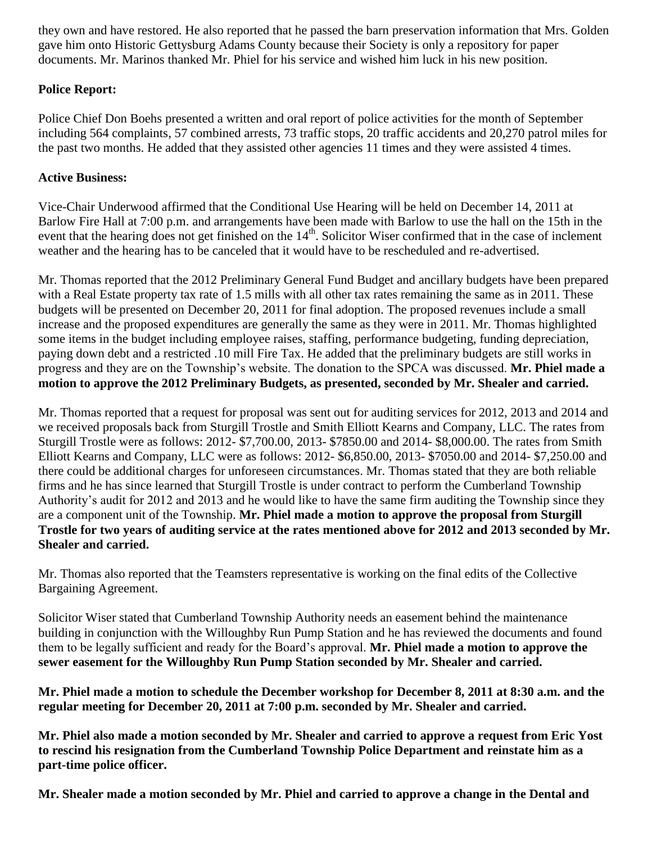they own and have restored. He also reported that he passed the barn preservation information that Mrs. Golden gave him onto Historic Gettysburg Adams County because their Society is only a repository for paper documents. Mr. Marinos thanked Mr. Phiel for his service and wished him luck in his new position.

# **Police Report:**

Police Chief Don Boehs presented a written and oral report of police activities for the month of September including 564 complaints, 57 combined arrests, 73 traffic stops, 20 traffic accidents and 20,270 patrol miles for the past two months. He added that they assisted other agencies 11 times and they were assisted 4 times.

# **Active Business:**

Vice-Chair Underwood affirmed that the Conditional Use Hearing will be held on December 14, 2011 at Barlow Fire Hall at 7:00 p.m. and arrangements have been made with Barlow to use the hall on the 15th in the event that the hearing does not get finished on the 14<sup>th</sup>. Solicitor Wiser confirmed that in the case of inclement weather and the hearing has to be canceled that it would have to be rescheduled and re-advertised.

Mr. Thomas reported that the 2012 Preliminary General Fund Budget and ancillary budgets have been prepared with a Real Estate property tax rate of 1.5 mills with all other tax rates remaining the same as in 2011. These budgets will be presented on December 20, 2011 for final adoption. The proposed revenues include a small increase and the proposed expenditures are generally the same as they were in 2011. Mr. Thomas highlighted some items in the budget including employee raises, staffing, performance budgeting, funding depreciation, paying down debt and a restricted .10 mill Fire Tax. He added that the preliminary budgets are still works in progress and they are on the Township's website. The donation to the SPCA was discussed. **Mr. Phiel made a motion to approve the 2012 Preliminary Budgets, as presented, seconded by Mr. Shealer and carried.**

Mr. Thomas reported that a request for proposal was sent out for auditing services for 2012, 2013 and 2014 and we received proposals back from Sturgill Trostle and Smith Elliott Kearns and Company, LLC. The rates from Sturgill Trostle were as follows: 2012- \$7,700.00, 2013- \$7850.00 and 2014- \$8,000.00. The rates from Smith Elliott Kearns and Company, LLC were as follows: 2012- \$6,850.00, 2013- \$7050.00 and 2014- \$7,250.00 and there could be additional charges for unforeseen circumstances. Mr. Thomas stated that they are both reliable firms and he has since learned that Sturgill Trostle is under contract to perform the Cumberland Township Authority's audit for 2012 and 2013 and he would like to have the same firm auditing the Township since they are a component unit of the Township. **Mr. Phiel made a motion to approve the proposal from Sturgill Trostle for two years of auditing service at the rates mentioned above for 2012 and 2013 seconded by Mr. Shealer and carried.**

Mr. Thomas also reported that the Teamsters representative is working on the final edits of the Collective Bargaining Agreement.

Solicitor Wiser stated that Cumberland Township Authority needs an easement behind the maintenance building in conjunction with the Willoughby Run Pump Station and he has reviewed the documents and found them to be legally sufficient and ready for the Board's approval. **Mr. Phiel made a motion to approve the sewer easement for the Willoughby Run Pump Station seconded by Mr. Shealer and carried.**

**Mr. Phiel made a motion to schedule the December workshop for December 8, 2011 at 8:30 a.m. and the regular meeting for December 20, 2011 at 7:00 p.m. seconded by Mr. Shealer and carried.**

**Mr. Phiel also made a motion seconded by Mr. Shealer and carried to approve a request from Eric Yost to rescind his resignation from the Cumberland Township Police Department and reinstate him as a part-time police officer.**

**Mr. Shealer made a motion seconded by Mr. Phiel and carried to approve a change in the Dental and**